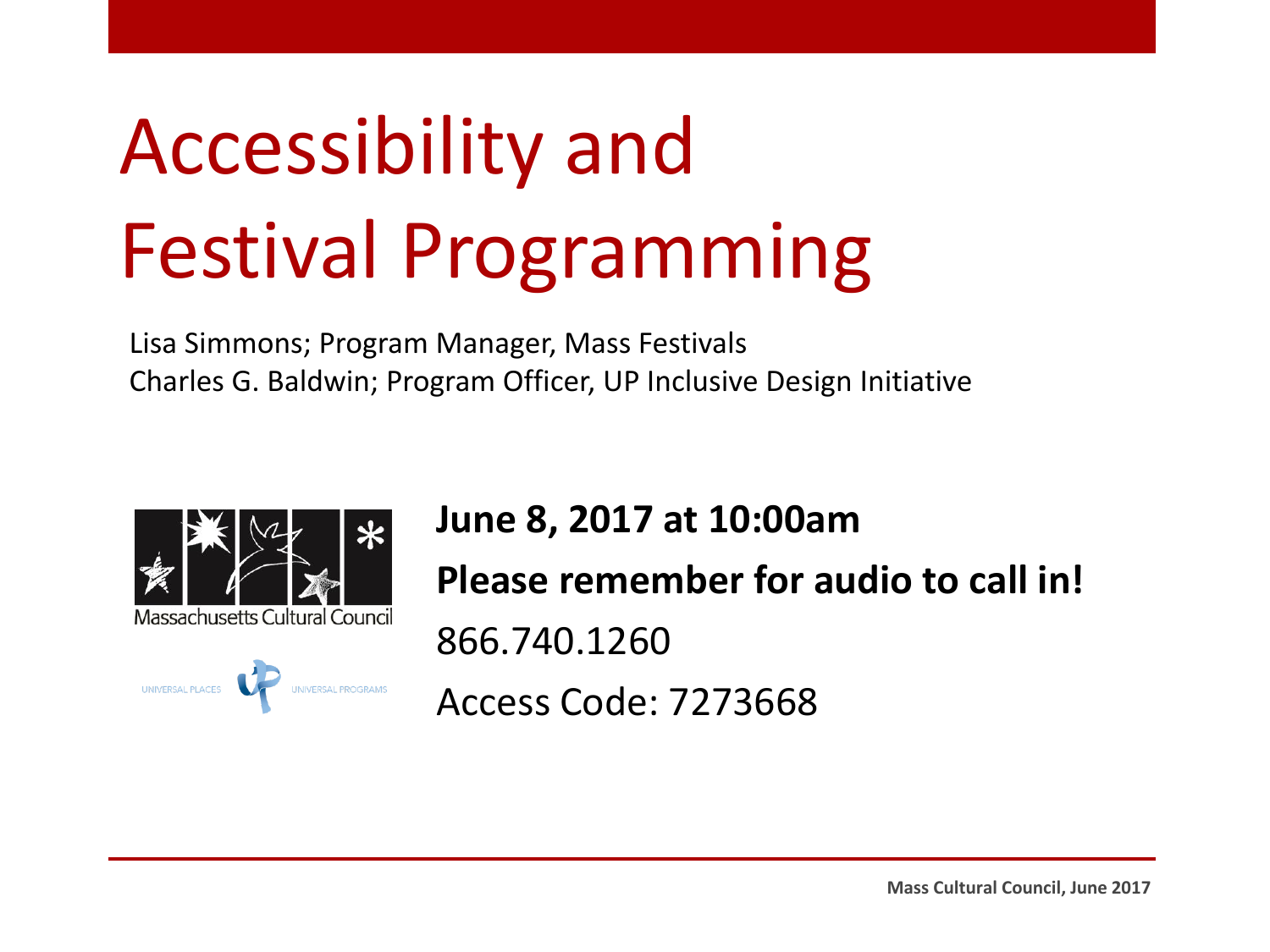### Accessibility and Festival Programming

Lisa Simmons; Program Manager, Mass Festivals Charles G. Baldwin; Program Officer, UP Inclusive Design Initiative



**June 8, 2017 at 10:00am Please remember for audio to call in!** 866.740.1260 Access Code: 7273668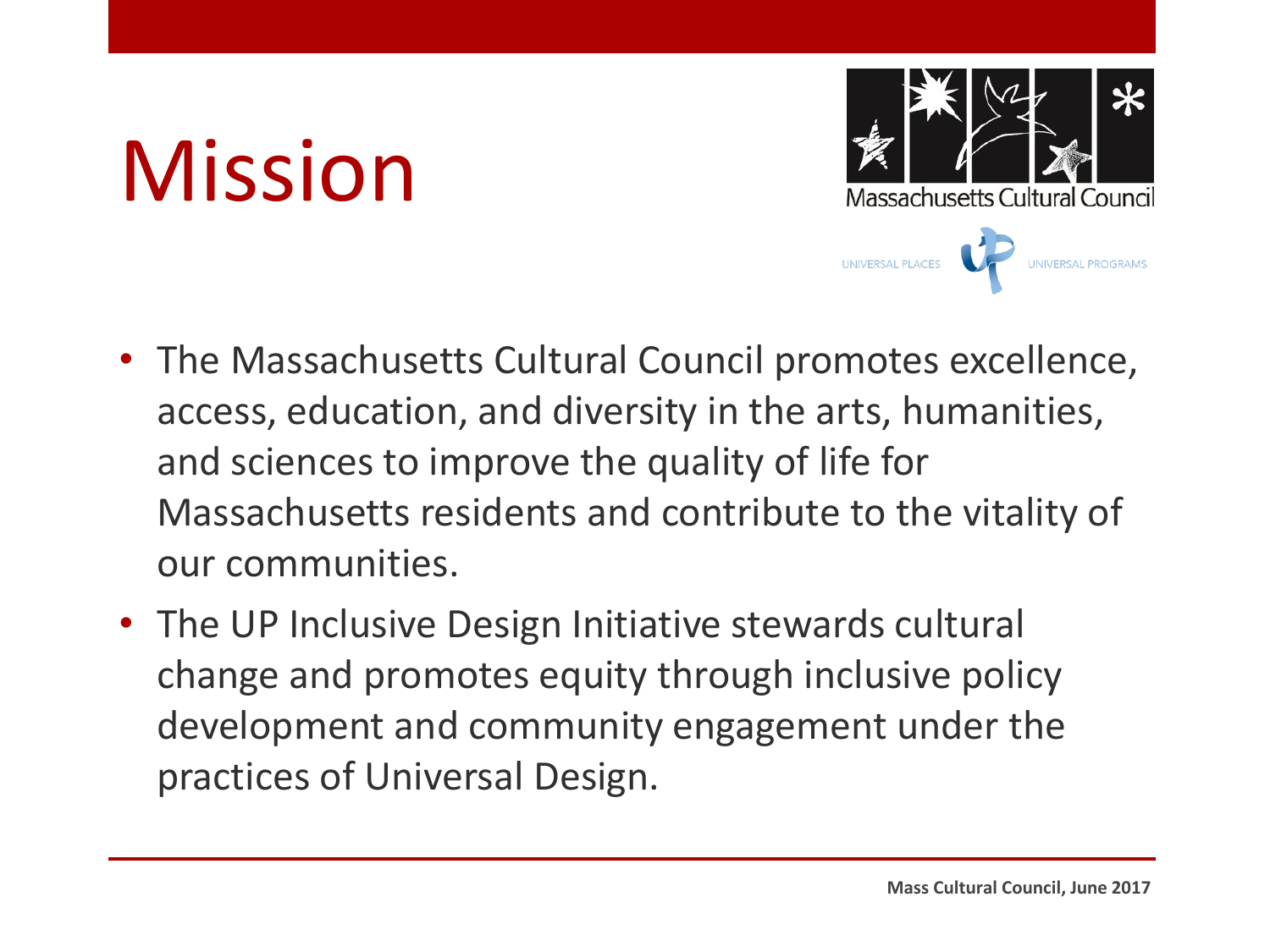### Mission



- The Massachusetts Cultural Council promotes excellence, access, education, and diversity in the arts, humanities, and sciences to improve the quality of life for Massachusetts residents and contribute to the vitality of our communities.
- The UP Inclusive Design Initiative stewards cultural change and promotes equity through inclusive policy development and community engagement under the practices of Universal Design.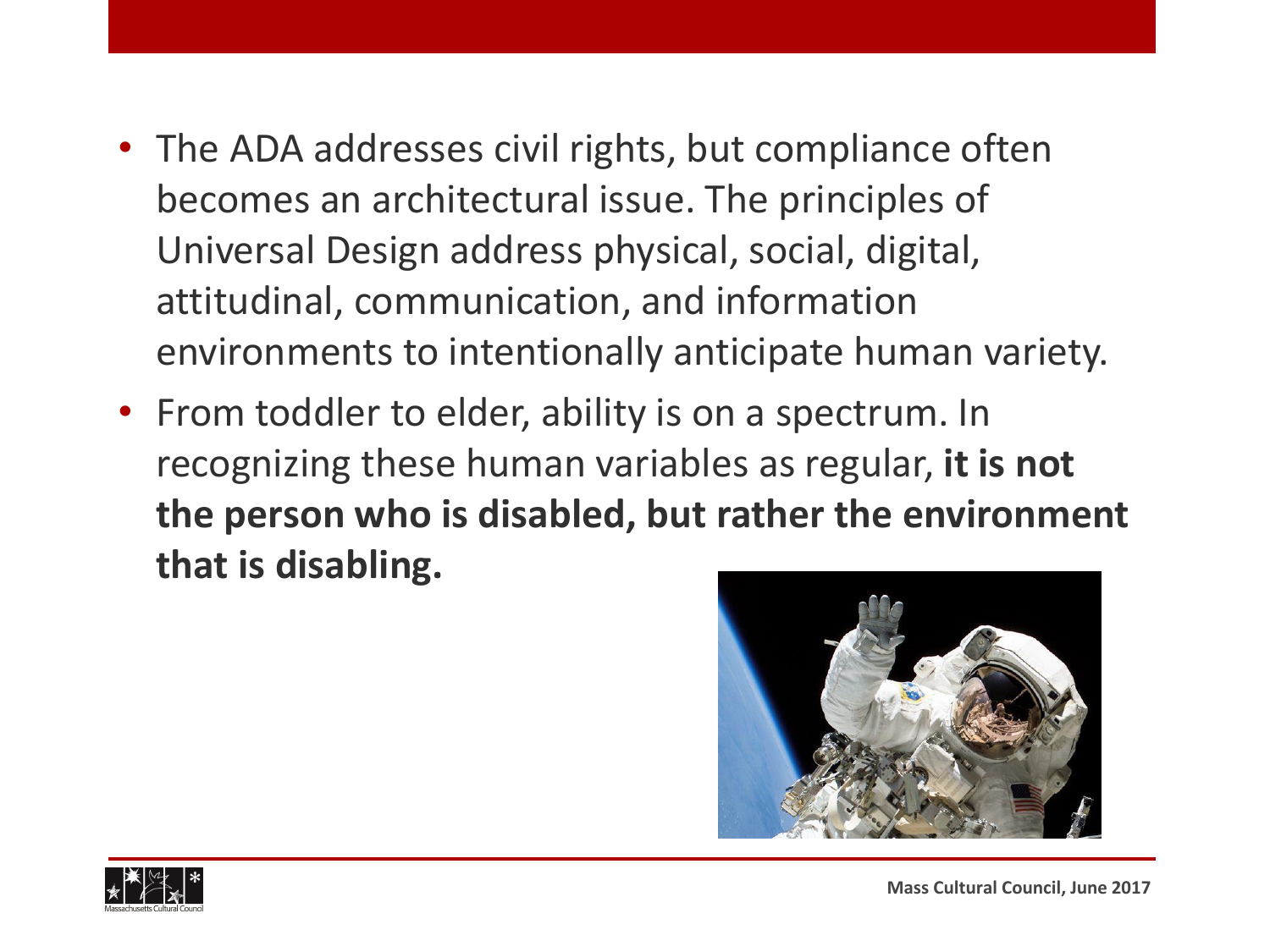- The ADA addresses civil rights, but compliance often becomes an architectural issue. The principles of Universal Design address physical, social, digital, attitudinal, communication, and information environments to intentionally anticipate human variety.
- From toddler to elder, ability is on a spectrum. In recognizing these human variables as regular, **it is not the person who is disabled, but rather the environment that is disabling.**



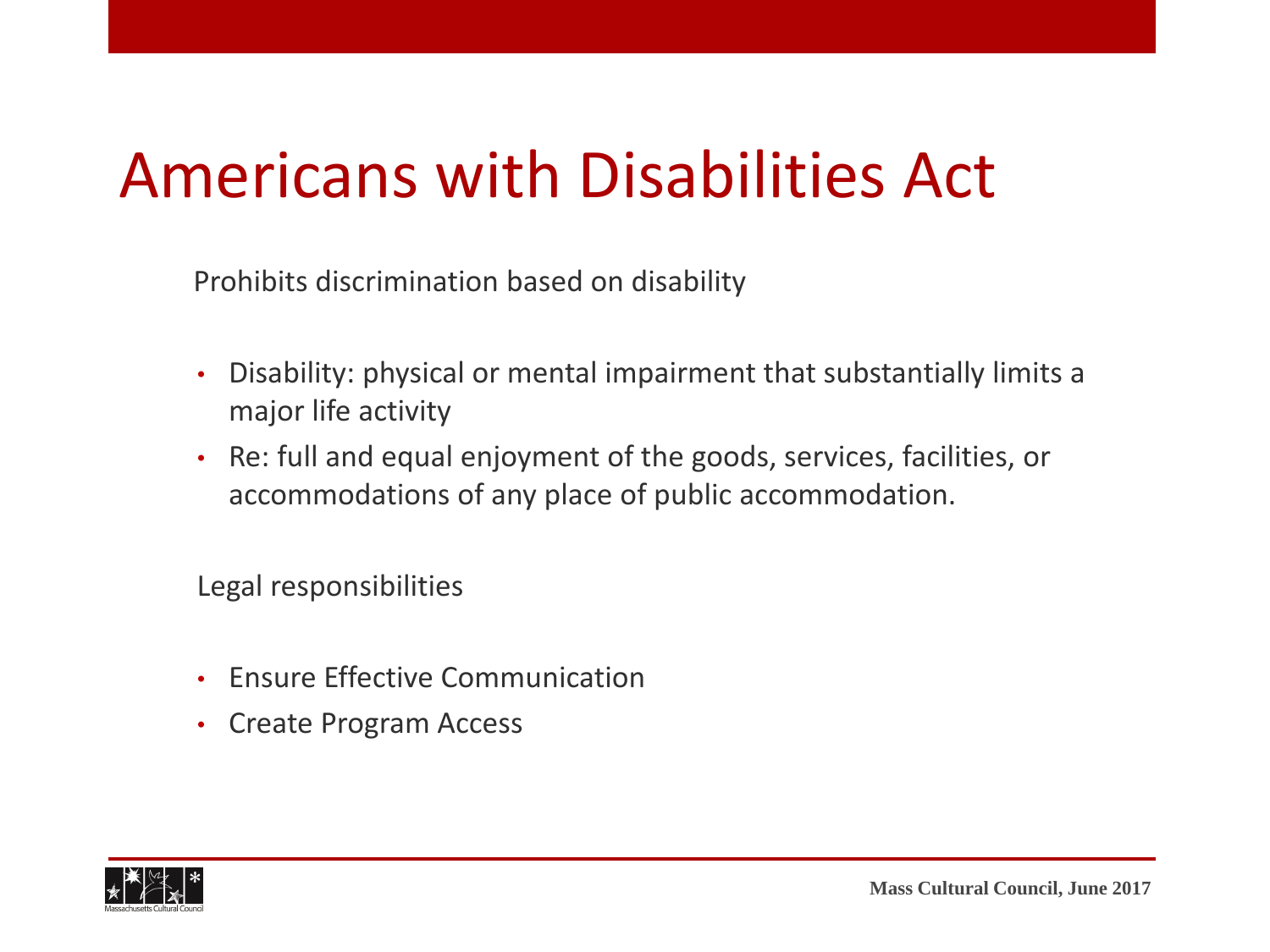#### Americans with Disabilities Act

Prohibits discrimination based on disability

- Disability: physical or mental impairment that substantially limits a major life activity
- Re: full and equal enjoyment of the goods, services, facilities, or accommodations of any place of public accommodation.

Legal responsibilities

- Ensure Effective Communication
- Create Program Access

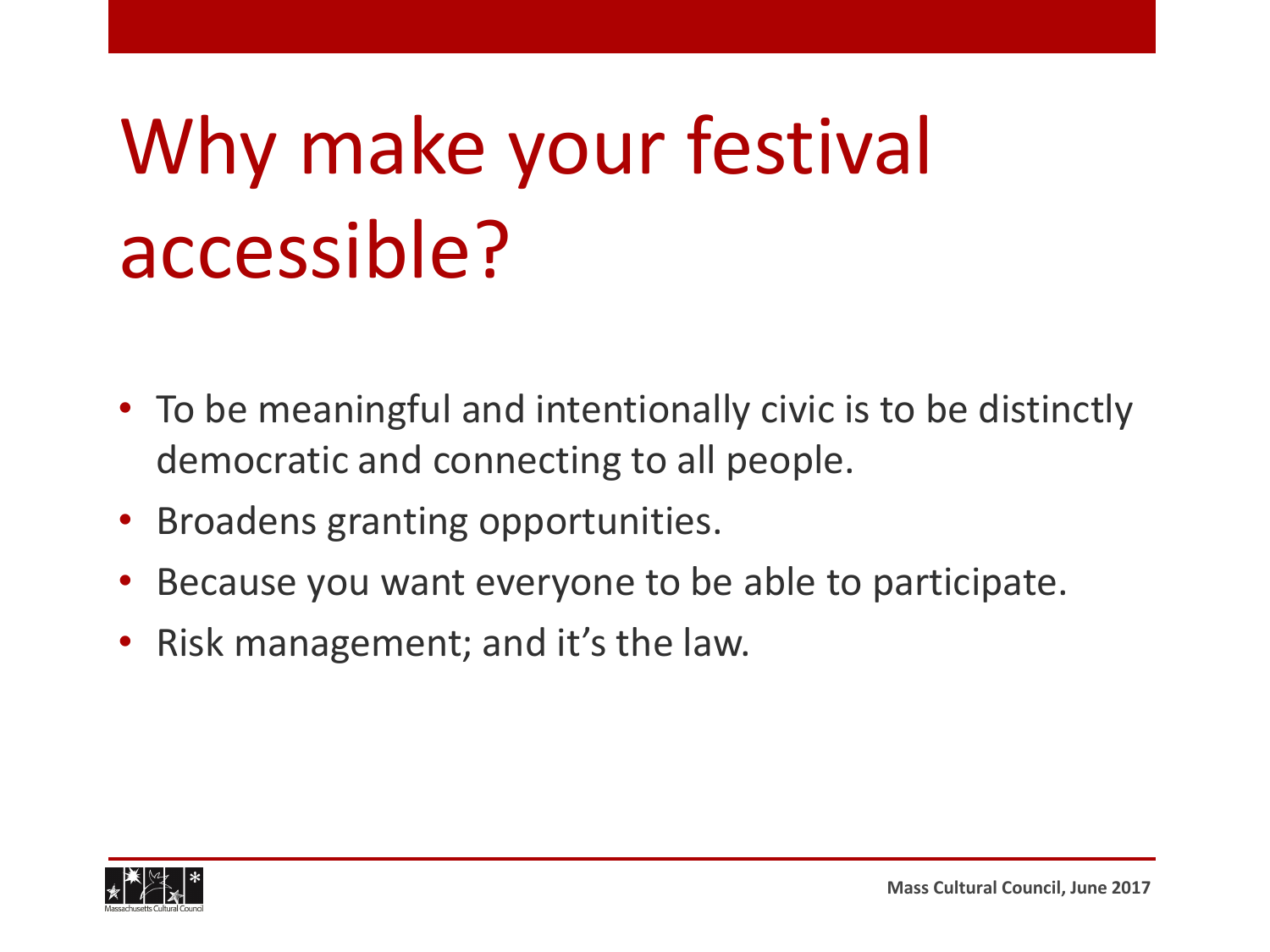## Why make your festival accessible?

- To be meaningful and intentionally civic is to be distinctly democratic and connecting to all people.
- Broadens granting opportunities.
- Because you want everyone to be able to participate.
- Risk management; and it's the law.

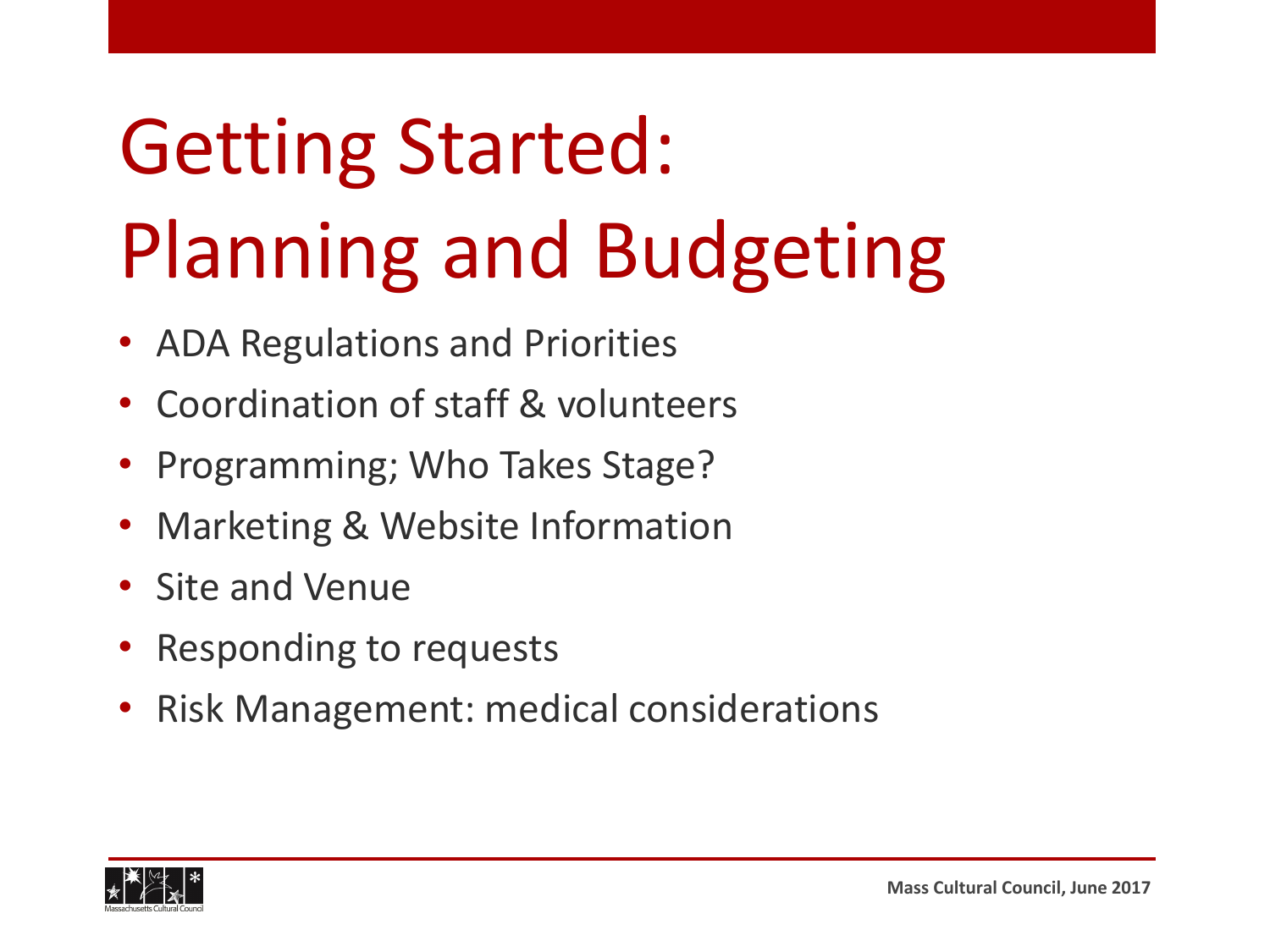### Getting Started: Planning and Budgeting

- ADA Regulations and Priorities
- Coordination of staff & volunteers
- Programming; Who Takes Stage?
- Marketing & Website Information
- Site and Venue
- Responding to requests
- Risk Management: medical considerations

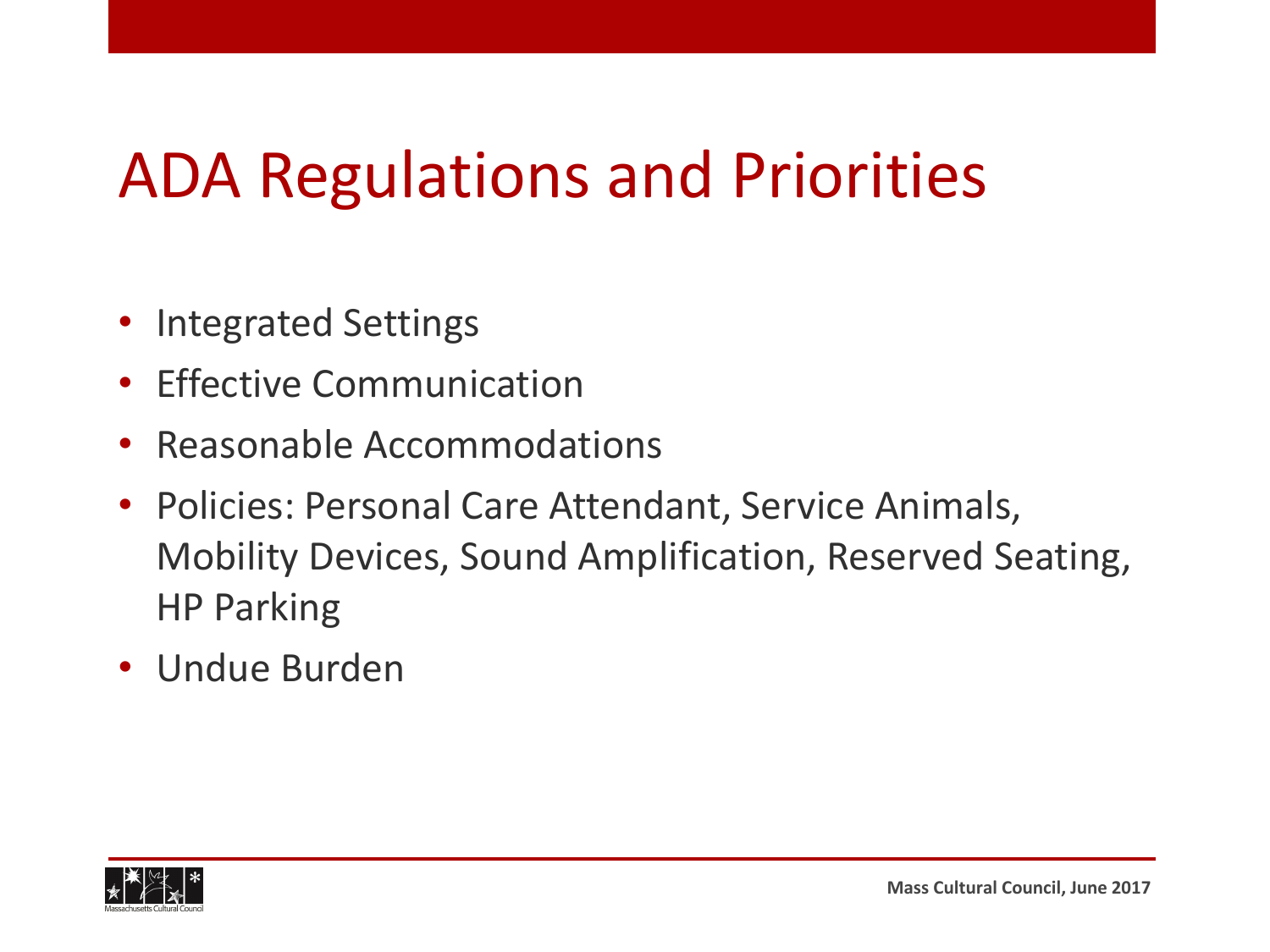#### ADA Regulations and Priorities

- Integrated Settings
- Effective Communication
- Reasonable Accommodations
- Policies: Personal Care Attendant, Service Animals, Mobility Devices, Sound Amplification, Reserved Seating, HP Parking
- Undue Burden

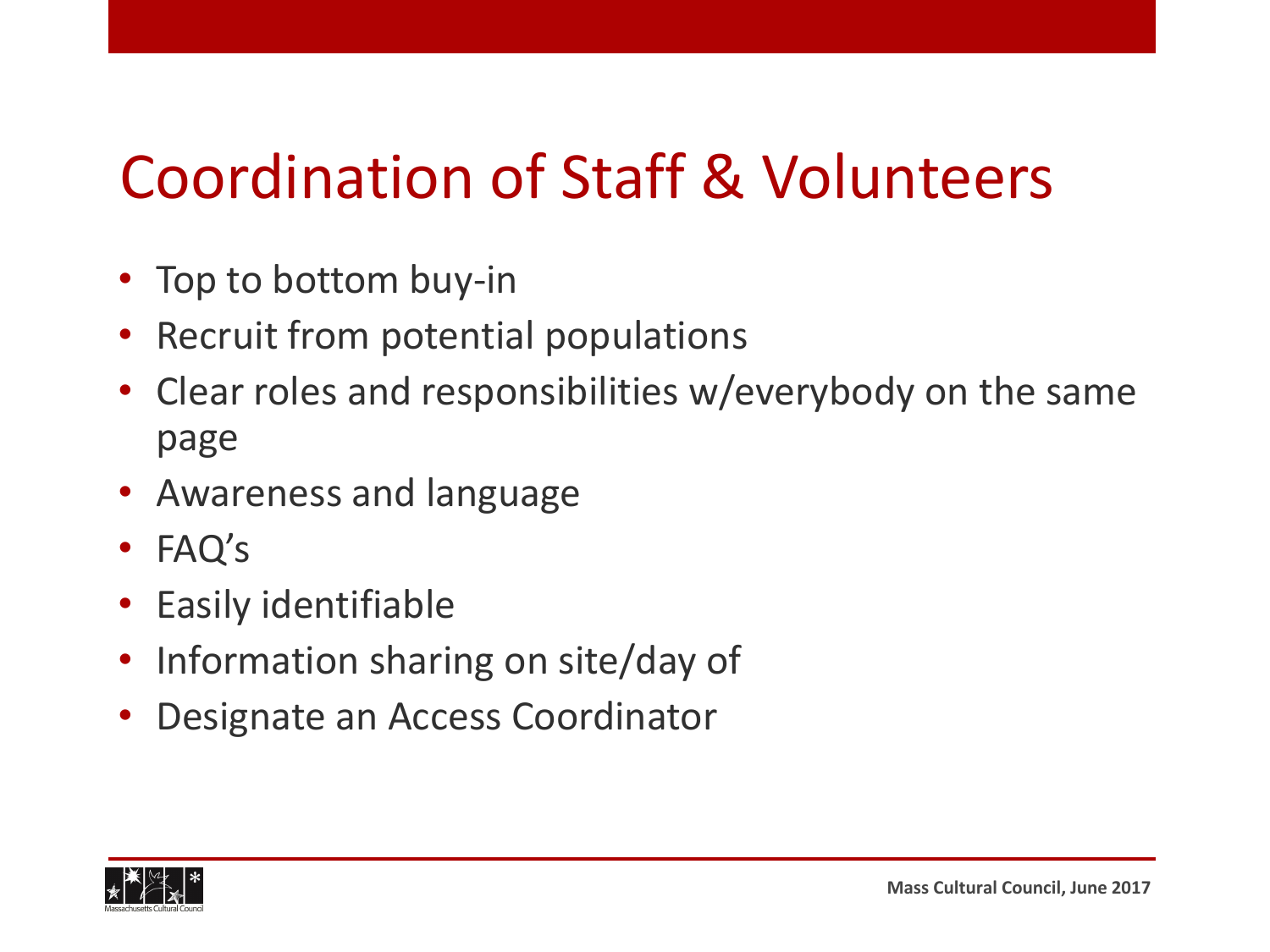#### Coordination of Staff & Volunteers

- Top to bottom buy-in
- Recruit from potential populations
- Clear roles and responsibilities w/everybody on the same page
- Awareness and language
- FAQ's
- Easily identifiable
- Information sharing on site/day of
- Designate an Access Coordinator

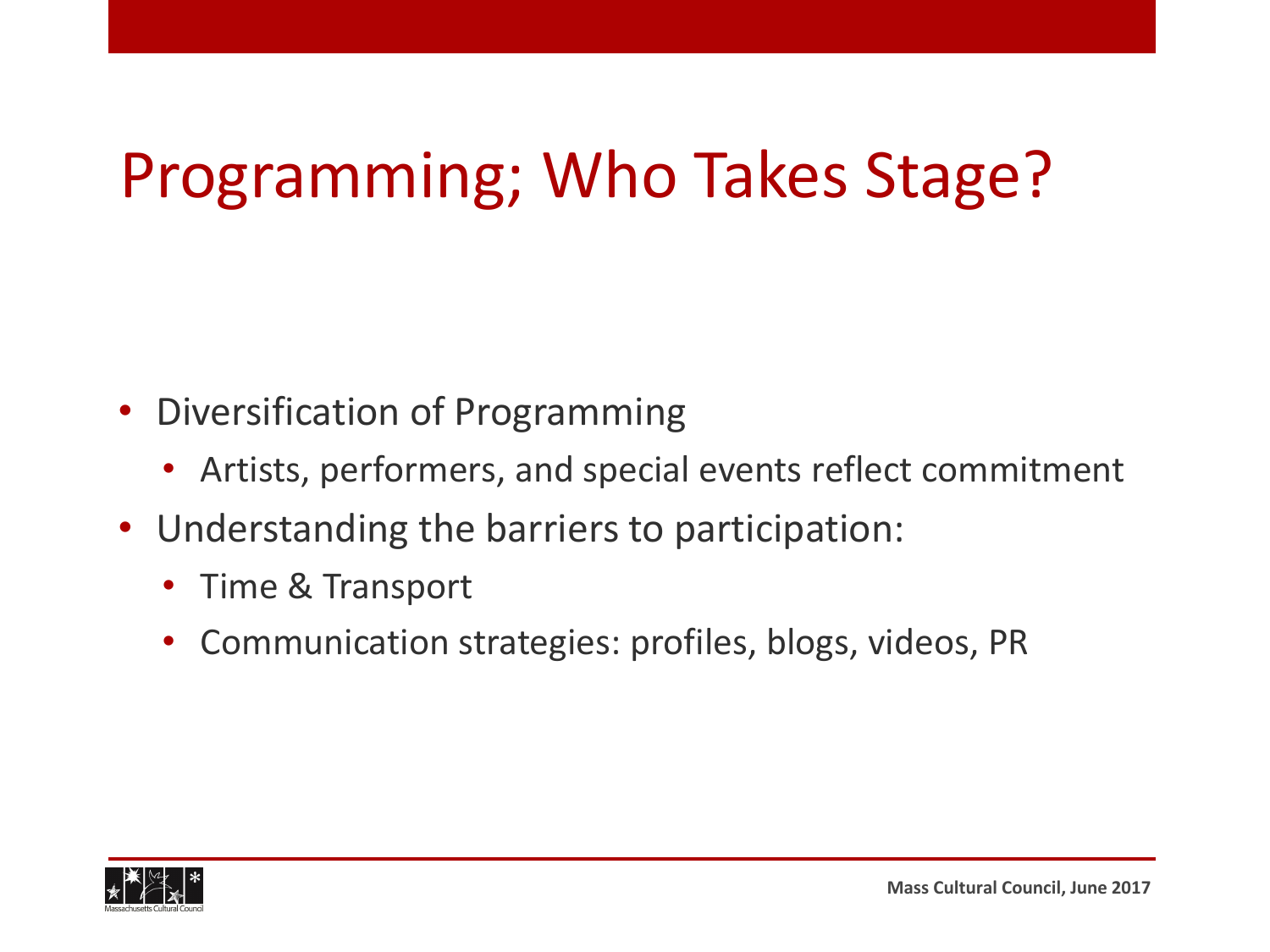#### Programming; Who Takes Stage?

- Diversification of Programming
	- Artists, performers, and special events reflect commitment
- Understanding the barriers to participation:
	- Time & Transport
	- Communication strategies: profiles, blogs, videos, PR

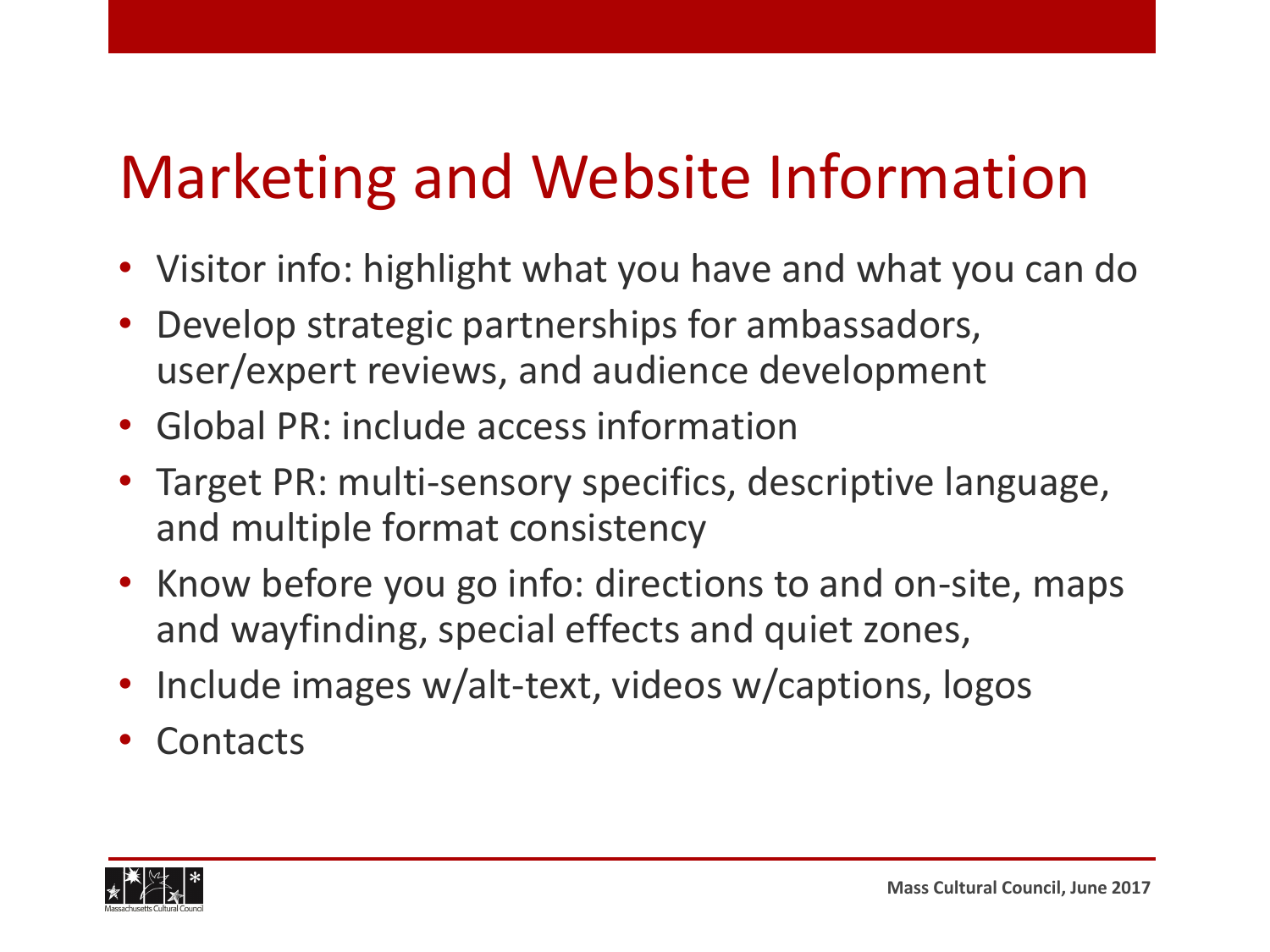#### Marketing and Website Information

- Visitor info: highlight what you have and what you can do
- Develop strategic partnerships for ambassadors, user/expert reviews, and audience development
- Global PR: include access information
- Target PR: multi-sensory specifics, descriptive language, and multiple format consistency
- Know before you go info: directions to and on-site, maps and wayfinding, special effects and quiet zones,
- Include images w/alt-text, videos w/captions, logos
- Contacts

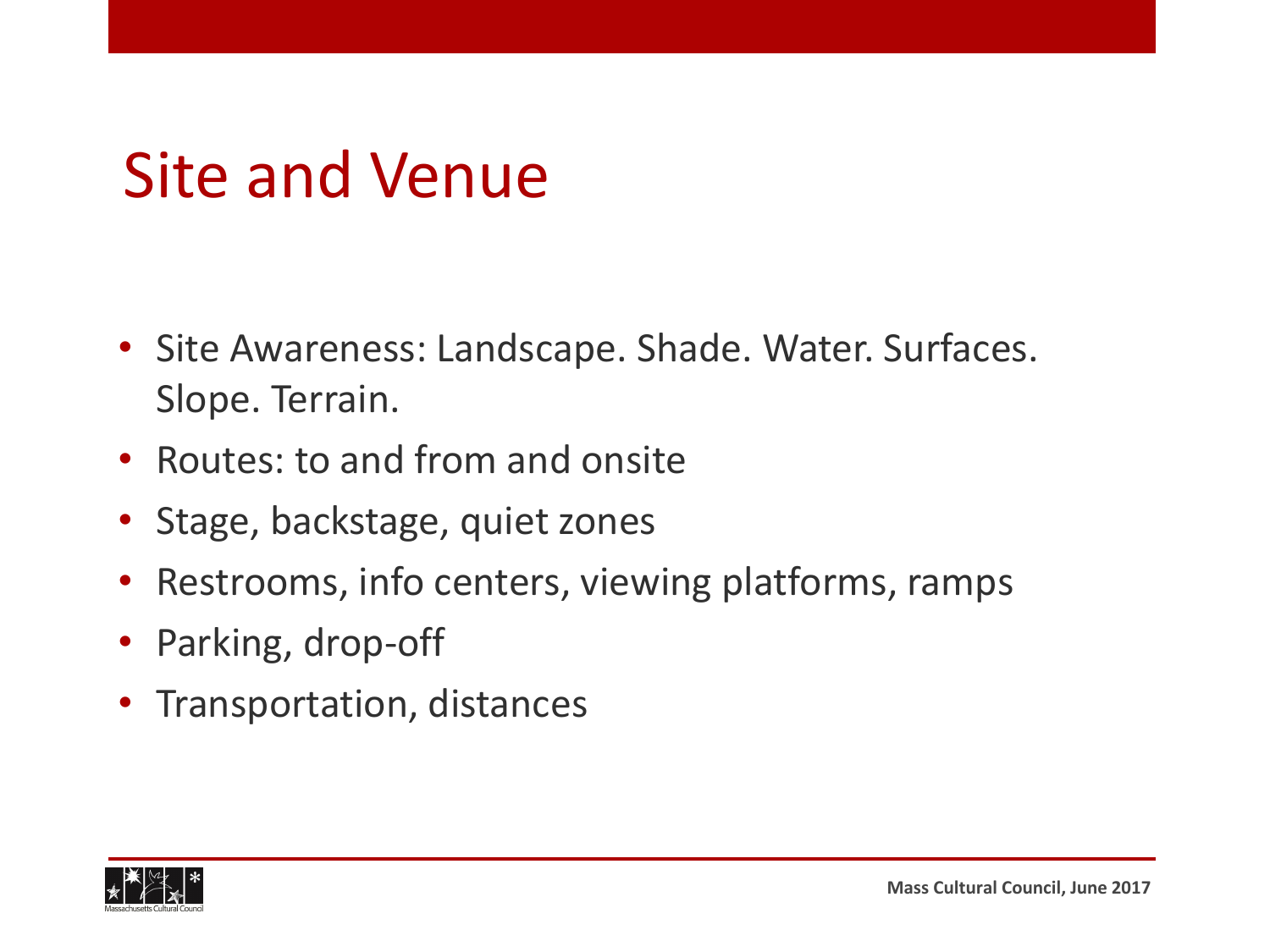#### Site and Venue

- Site Awareness: Landscape. Shade. Water. Surfaces. Slope. Terrain.
- Routes: to and from and onsite
- Stage, backstage, quiet zones
- Restrooms, info centers, viewing platforms, ramps
- Parking, drop-off
- Transportation, distances

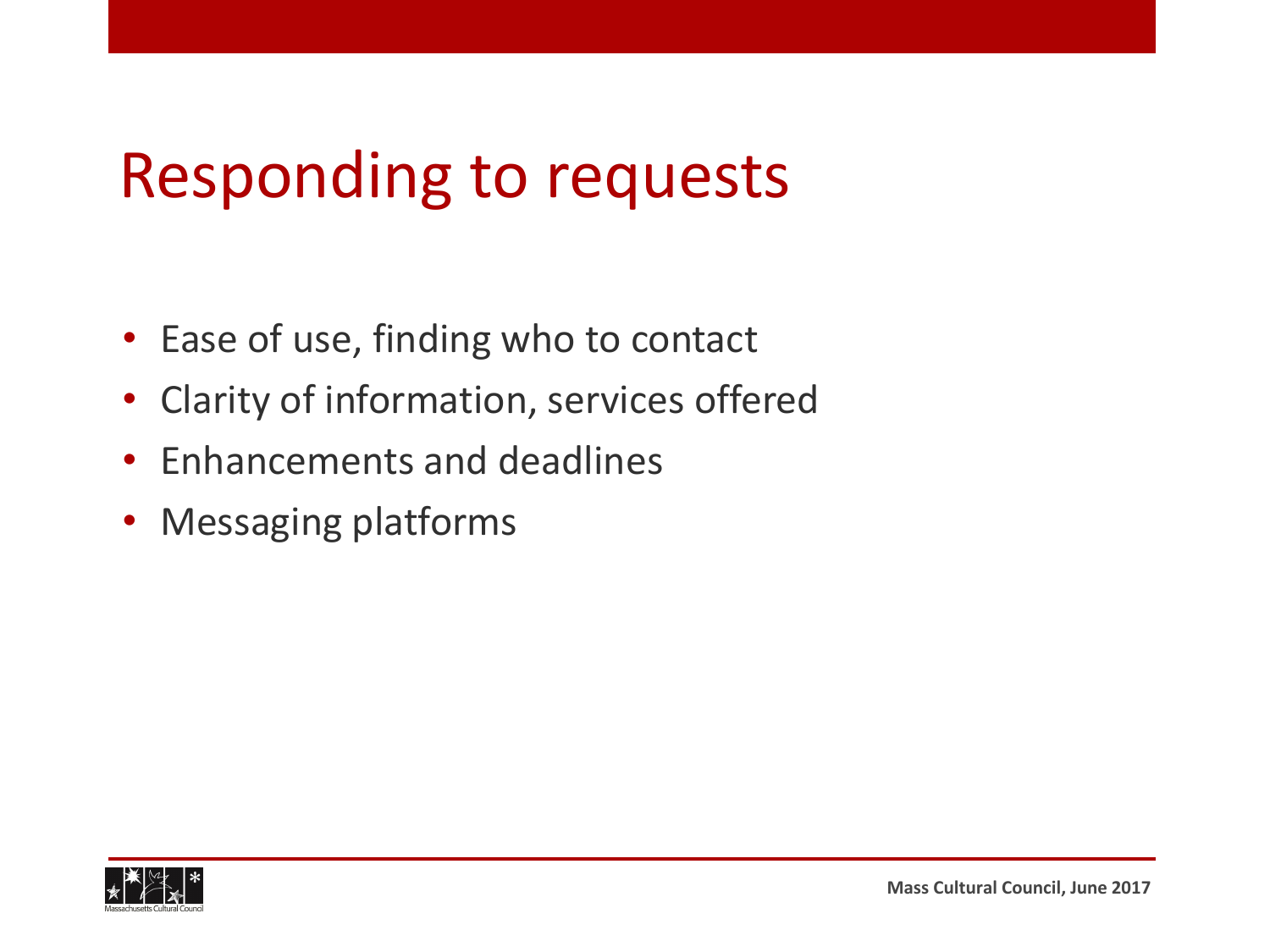#### Responding to requests

- Ease of use, finding who to contact
- Clarity of information, services offered
- Enhancements and deadlines
- Messaging platforms

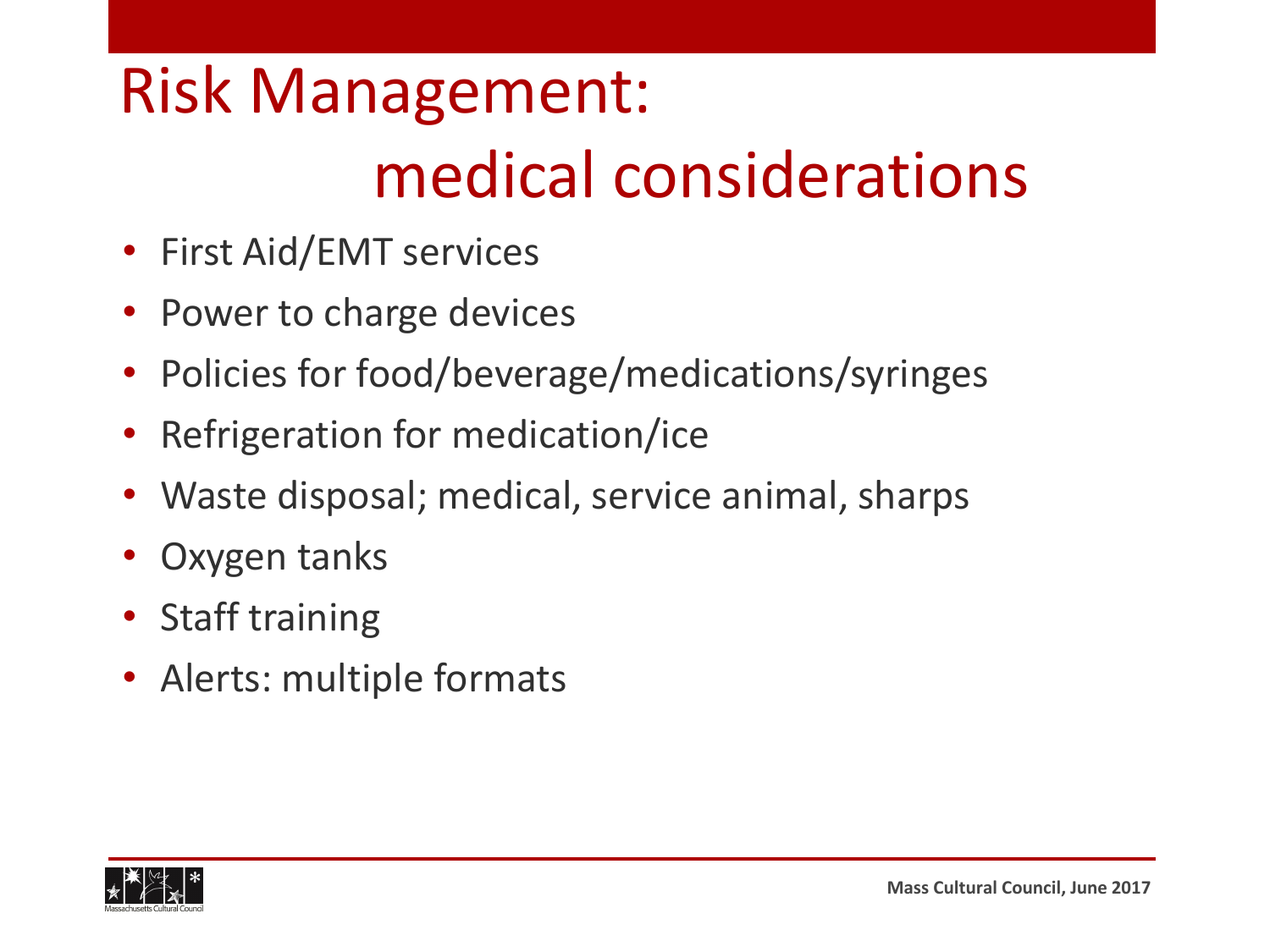#### Risk Management: medical considerations

- First Aid/EMT services
- Power to charge devices
- Policies for food/beverage/medications/syringes
- Refrigeration for medication/ice
- Waste disposal; medical, service animal, sharps
- Oxygen tanks
- Staff training
- Alerts: multiple formats

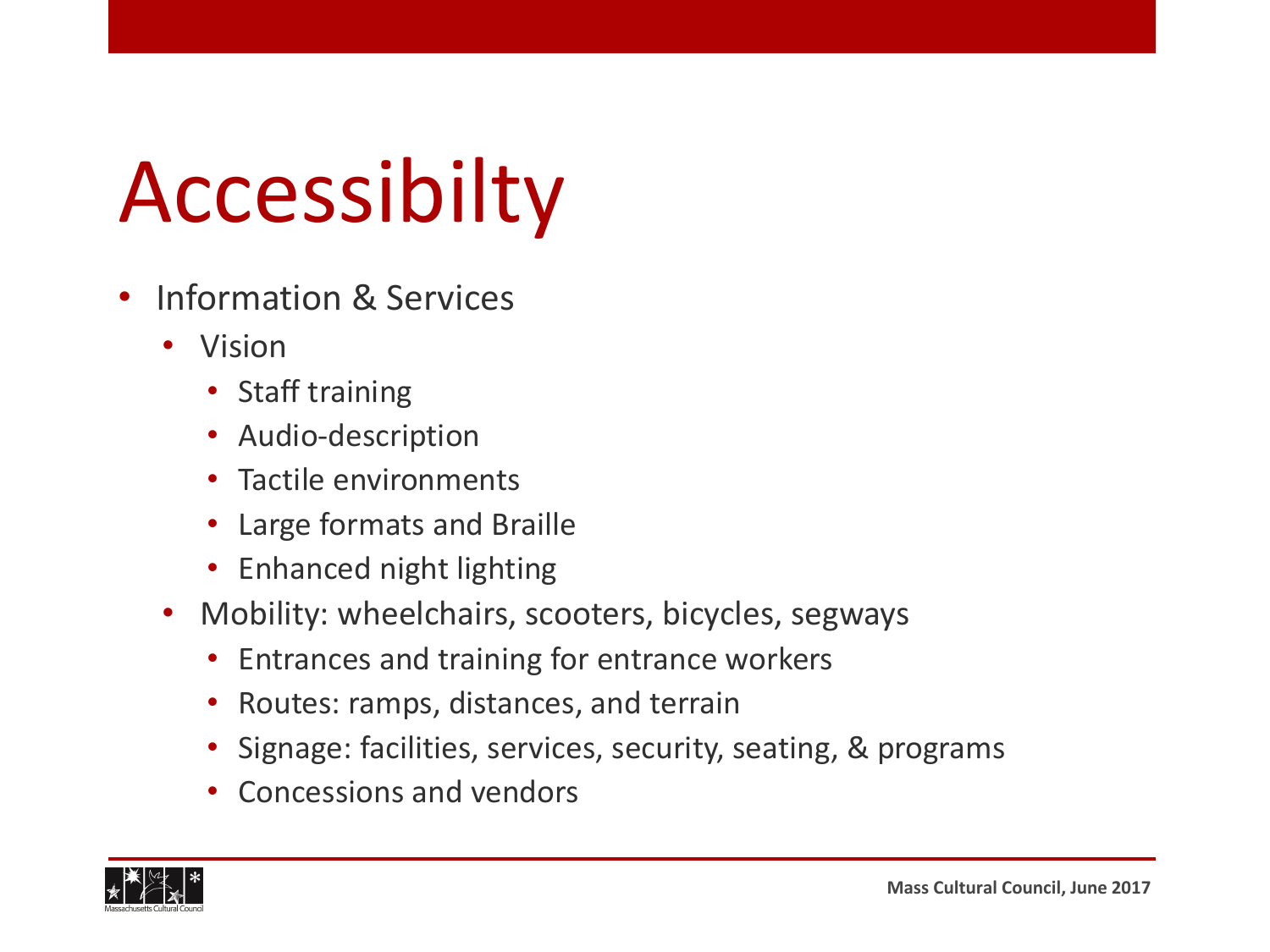## Accessibilty

- Information & Services
	- Vision
		- Staff training
		- Audio-description
		- Tactile environments
		- Large formats and Braille
		- Enhanced night lighting
	- Mobility: wheelchairs, scooters, bicycles, segways
		- Entrances and training for entrance workers
		- Routes: ramps, distances, and terrain
		- Signage: facilities, services, security, seating, & programs
		- Concessions and vendors

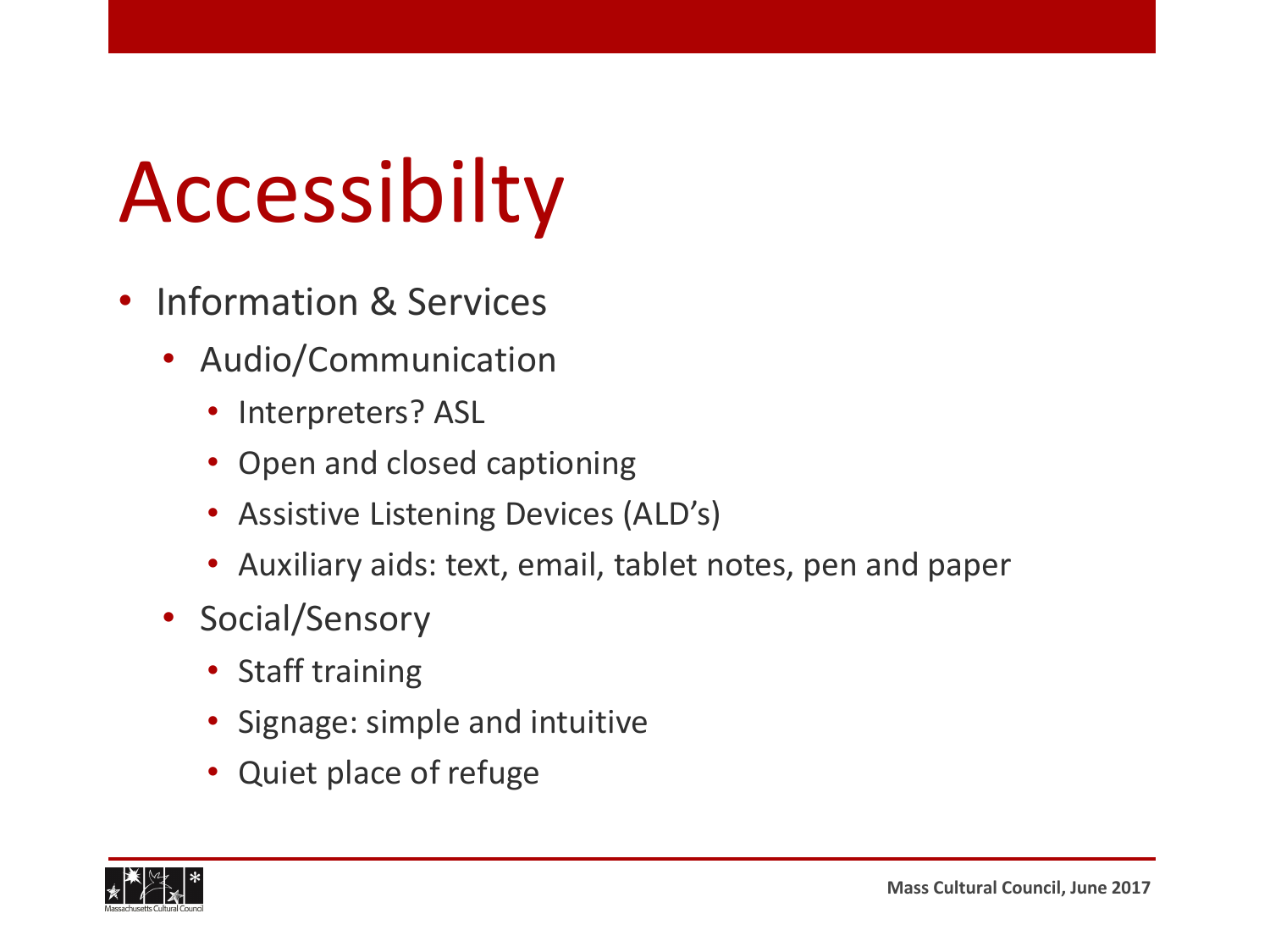## Accessibilty

- Information & Services
	- Audio/Communication
		- Interpreters? ASL
		- Open and closed captioning
		- Assistive Listening Devices (ALD's)
		- Auxiliary aids: text, email, tablet notes, pen and paper
	- Social/Sensory
		- Staff training
		- Signage: simple and intuitive
		- Quiet place of refuge

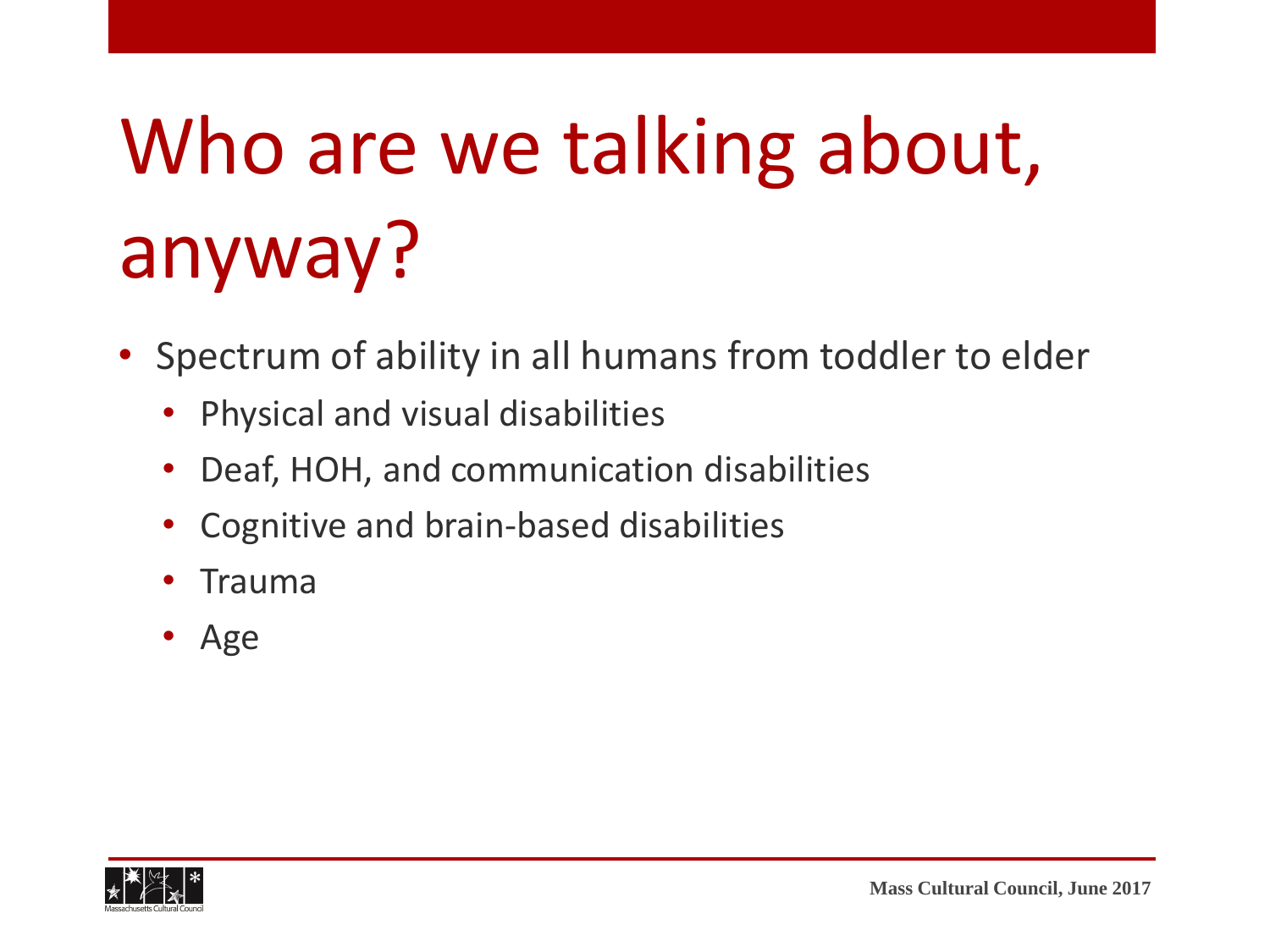## Who are we talking about, anyway?

- Spectrum of ability in all humans from toddler to elder
	- Physical and visual disabilities
	- Deaf, HOH, and communication disabilities
	- Cognitive and brain-based disabilities
	- Trauma
	- Age

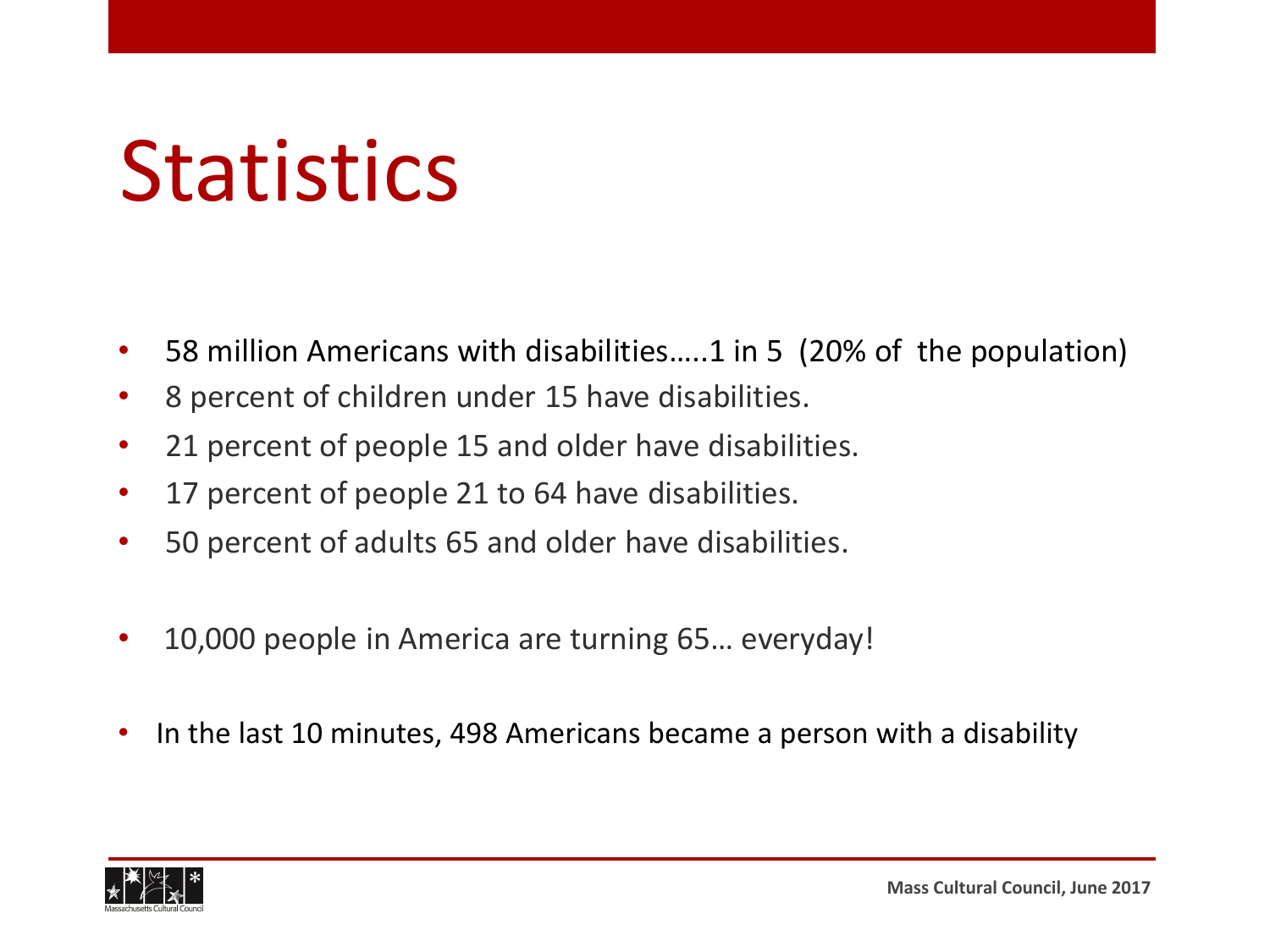### **Statistics**

- 58 million Americans with disabilities.....1 in 5 (20% of the population)
- 8 percent of children under 15 have disabilities.
- 21 percent of people 15 and older have disabilities.
- 17 percent of people 21 to 64 have disabilities.
- 50 percent of adults 65 and older have disabilities.
- 10,000 people in America are turning 65... everyday!
- In the last 10 minutes, 498 Americans became a person with a disability

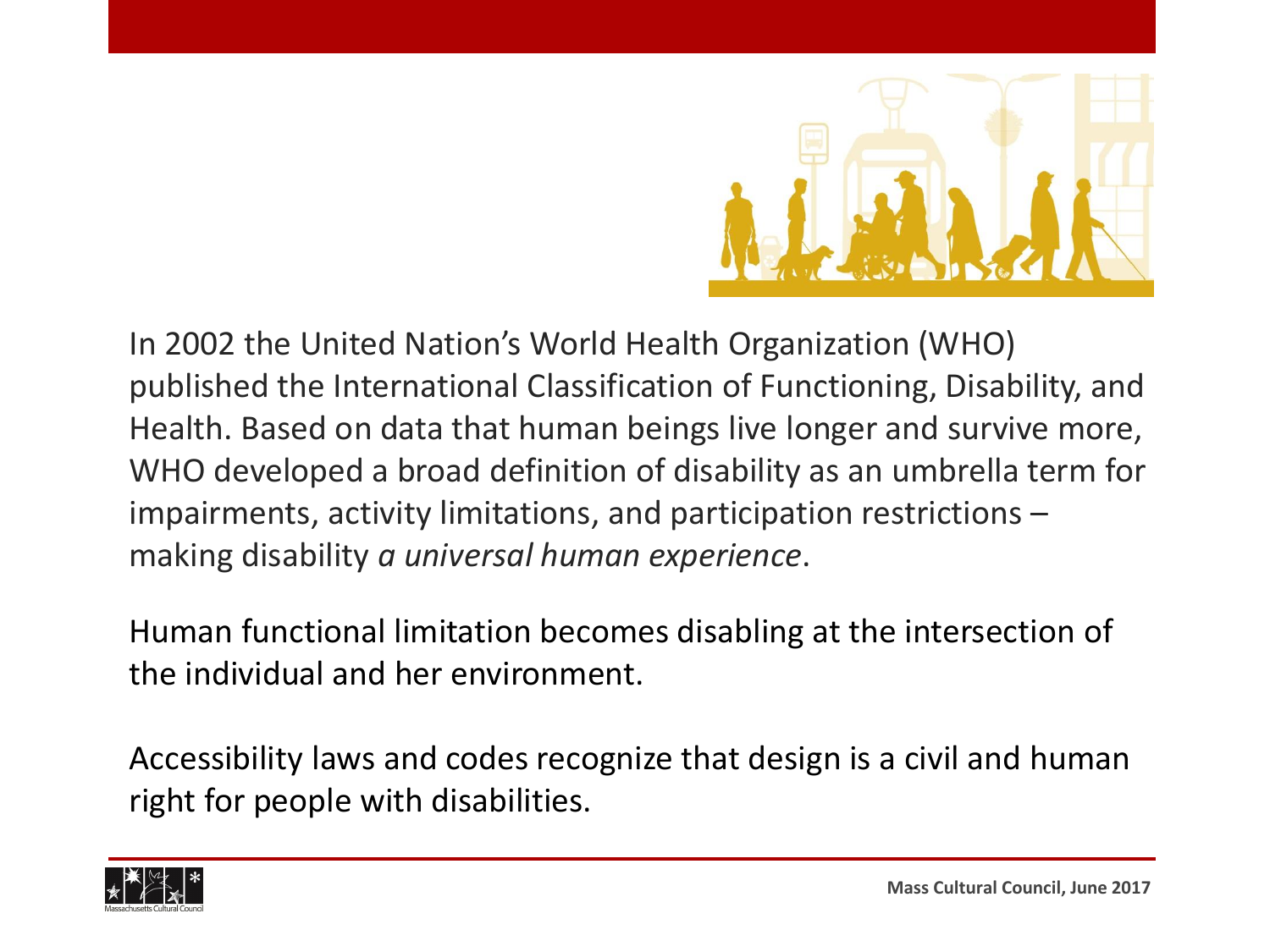

In 2002 the United Nation's World Health Organization (WHO) published the International Classification of Functioning, Disability, and Health. Based on data that human beings live longer and survive more, WHO developed a broad definition of disability as an umbrella term for impairments, activity limitations, and participation restrictions – making disability *a universal human experience*.

Human functional limitation becomes disabling at the intersection of the individual and her environment.

Accessibility laws and codes recognize that design is a civil and human right for people with disabilities.

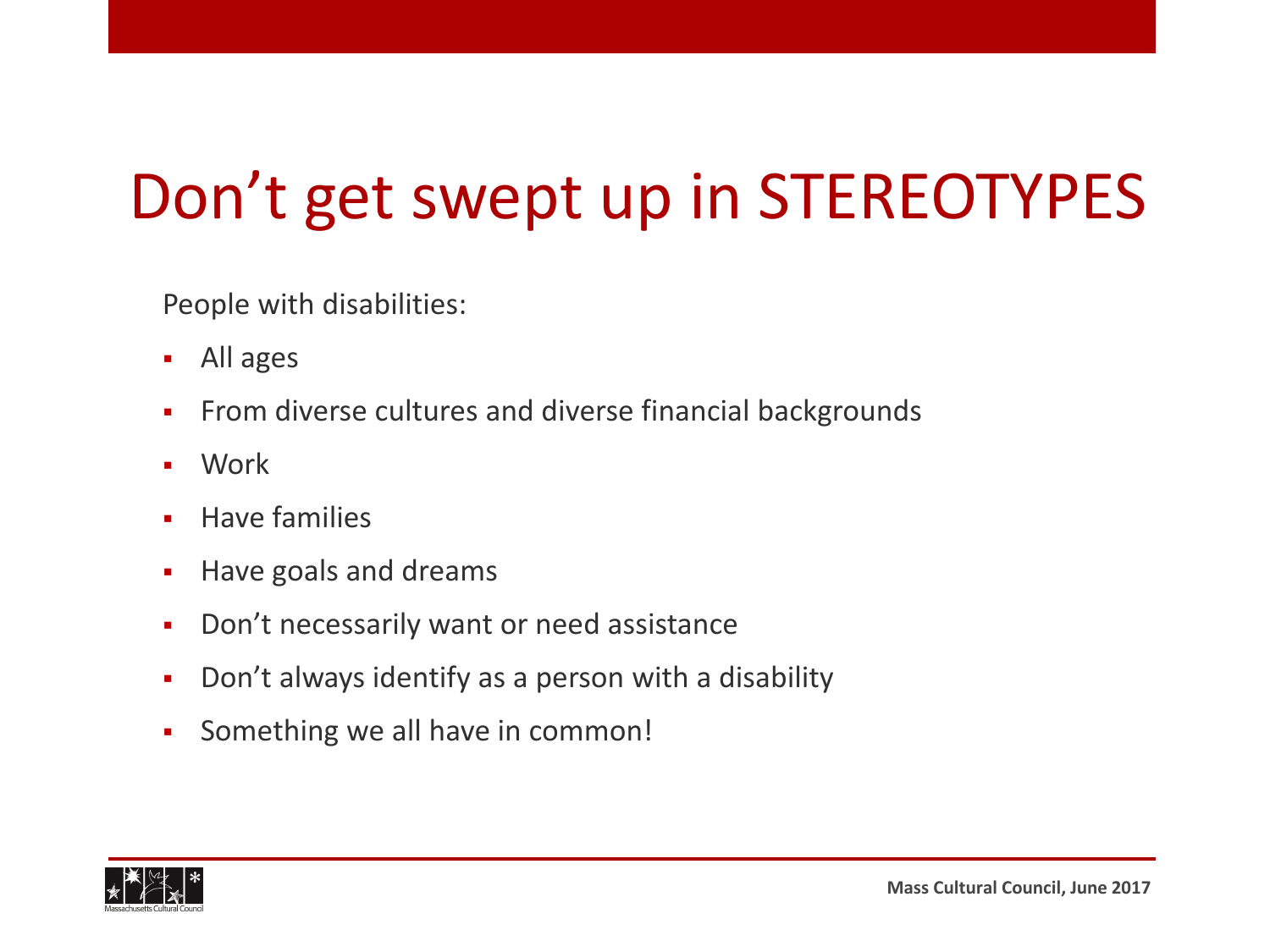#### Don't get swept up in STEREOTYPES

People with disabilities:

- All ages
- **From diverse cultures and diverse financial backgrounds**
- Work
- Have families
- **Have goals and dreams**
- **-** Don't necessarily want or need assistance
- Don't always identify as a person with a disability
- Something we all have in common!

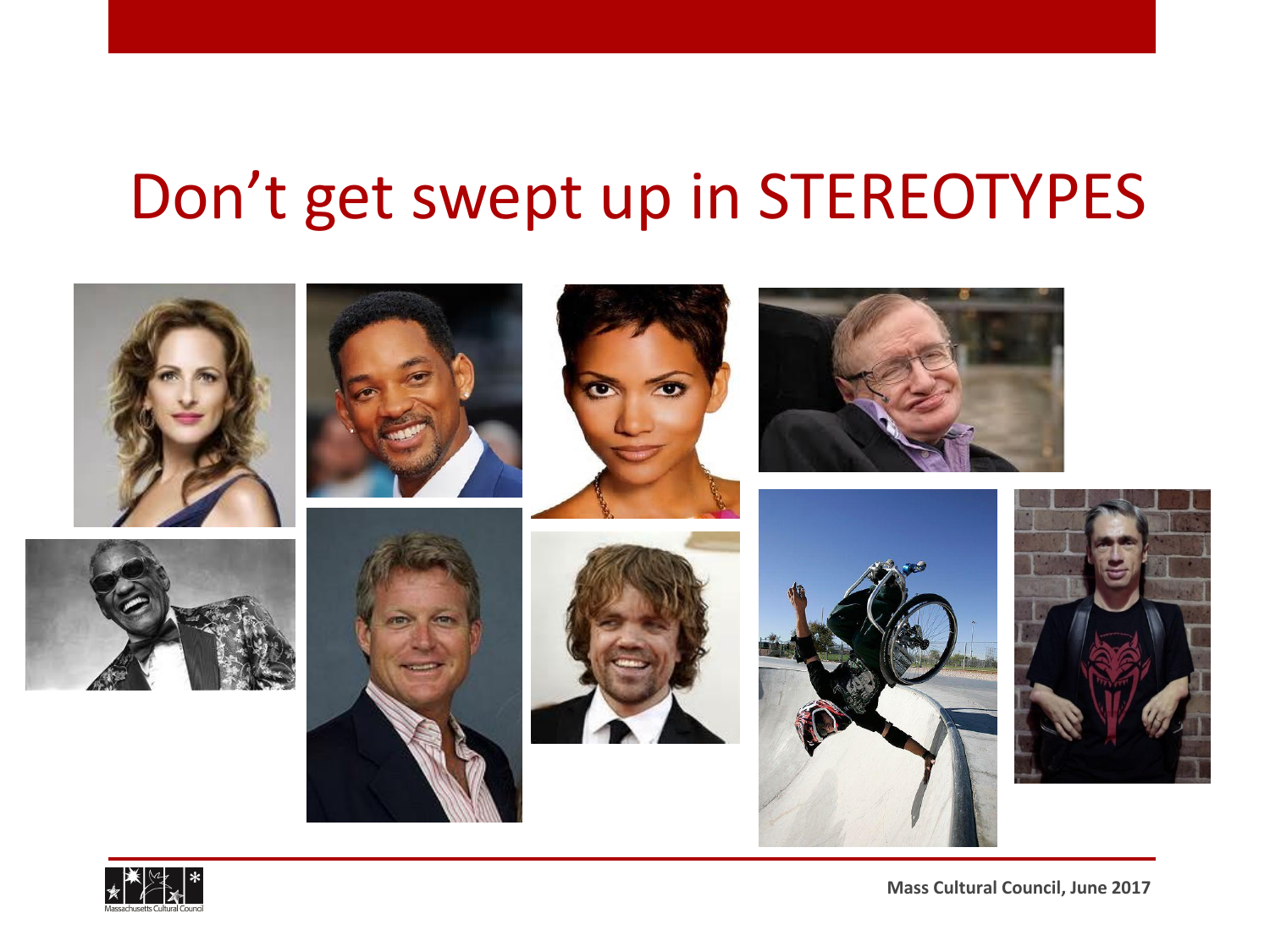#### Don't get swept up in STEREOTYPES



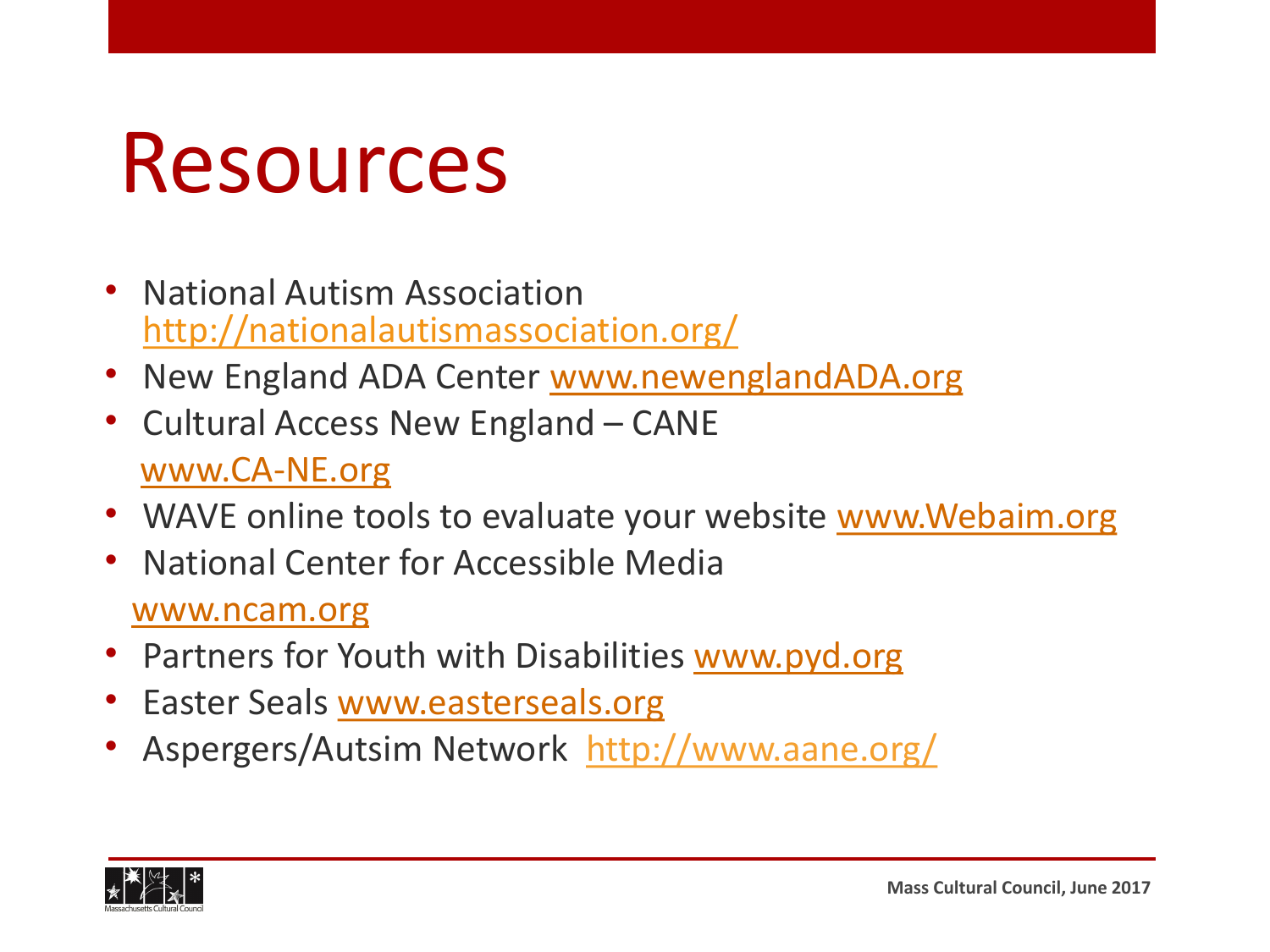### Resources

- National Autism Association http://nationalautismass[ociation.org/](http://www.newenglandada.org/)
- New England ADA Center www.newenglandADA.org
- [Cultural Access N](http://www.ca-ne.org/)ew England CANE www.CA-NE.org
- WAVE online tools to evaluate your website [www.Webaim.org](http://www.webaim.org/)
- [National Cente](http://www.ncam.org/)r for Accessible Media

www.ncam.org

- Partners for [Youth with Disabilitie](http://www.easterseals.org/)s [www.pyd.org](http://www.vsarts.org/)
- Easter Seals www.easterseals.org
- Aspergers/Autsim Network http://www.aane.org/

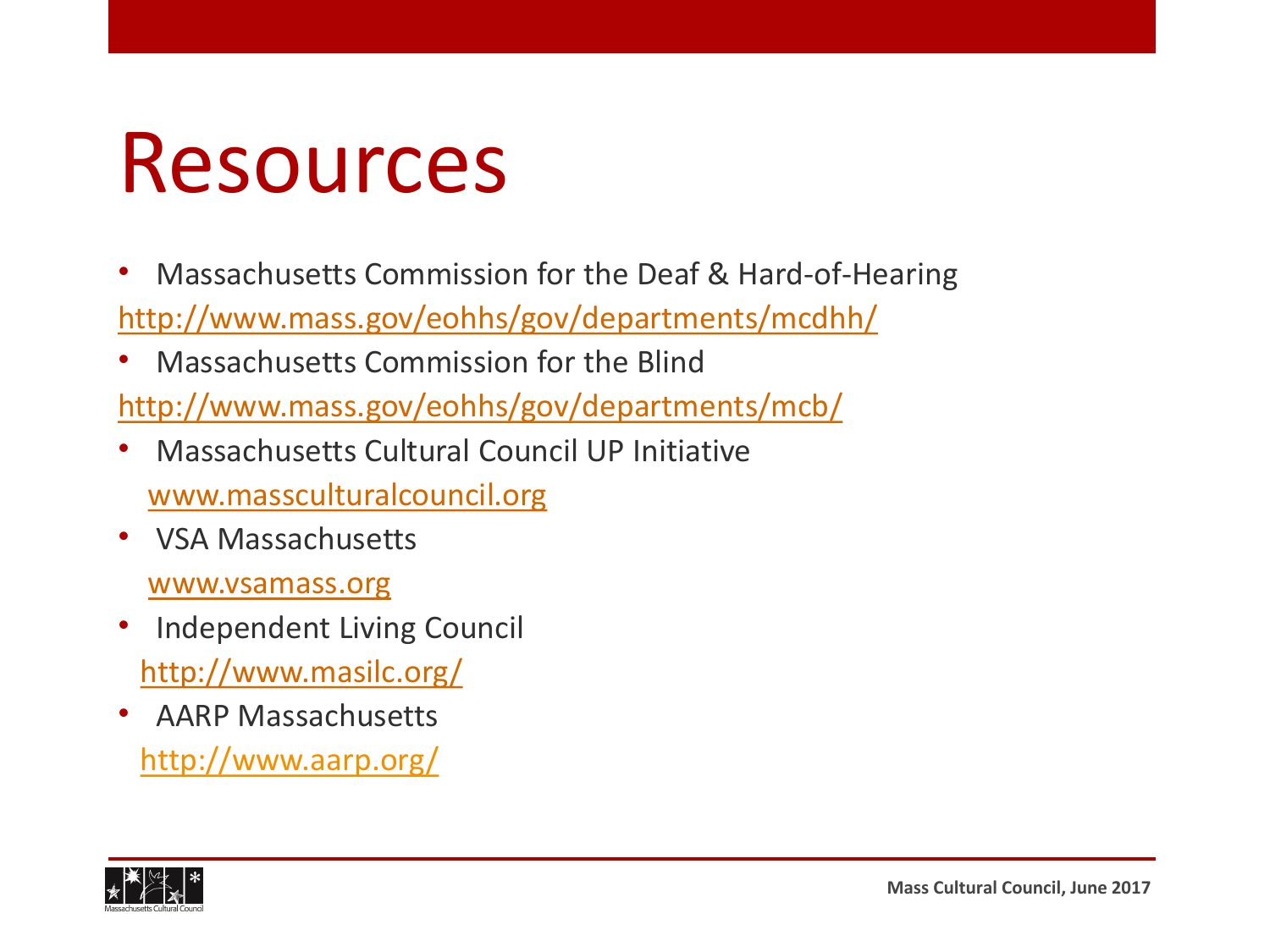### Resources

- [Massachusetts Commission for the Deaf & Hard-of-He](http://www.mass.gov/eohhs/gov/departments/mcdhh/)aring http://www.mass.gov/eohhs/gov/departments/mcdhh/
- [Massachusetts Commission for the Blind](http://www.mass.gov/eohhs/gov/departments/mcb/)

http://www.mass.gov/eohhs/gov/departments/mcb/

- [Massachusetts Cultural Coun](http://www.massculturalcouncil.org/)cil UP Initiative www.massculturalcouncil.org
- [VSA Massachuset](http://www.vsamass.org/)ts

www.vsamass.org

- [Independent Living Cou](http://www.masilc.org/)ncil http://www.masilc.org/
- AARP Massachusetts http://www.aarp.org/